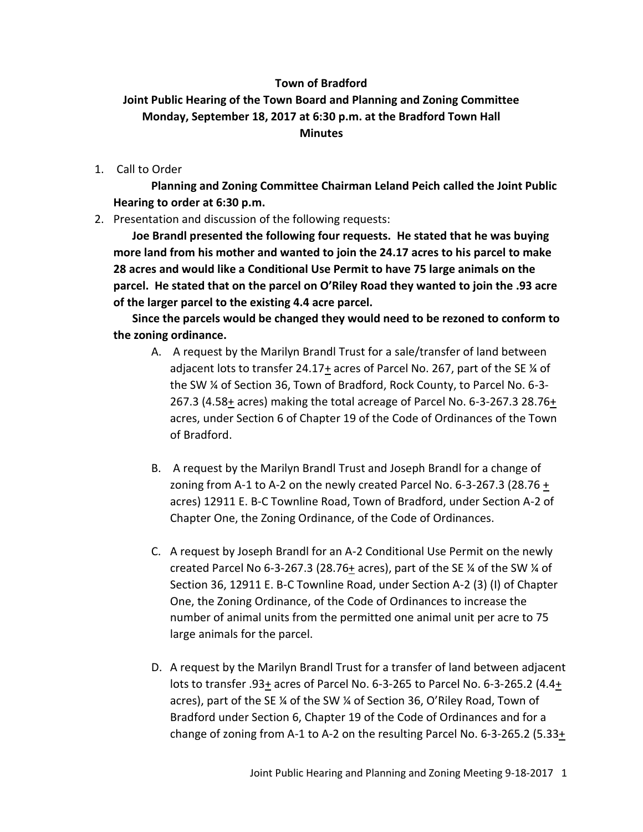## **Town of Bradford**

## **Joint Public Hearing of the Town Board and Planning and Zoning Committee Monday, September 18, 2017 at 6:30 p.m. at the Bradford Town Hall Minutes**

1. Call to Order

**Planning and Zoning Committee Chairman Leland Peich called the Joint Public Hearing to order at 6:30 p.m.**

2. Presentation and discussion of the following requests:

**Joe Brandl presented the following four requests. He stated that he was buying more land from his mother and wanted to join the 24.17 acres to his parcel to make 28 acres and would like a Conditional Use Permit to have 75 large animals on the parcel. He stated that on the parcel on O'Riley Road they wanted to join the .93 acre of the larger parcel to the existing 4.4 acre parcel.**

**Since the parcels would be changed they would need to be rezoned to conform to the zoning ordinance.**

- A. A request by the Marilyn Brandl Trust for a sale/transfer of land between adjacent lots to transfer 24.17 $\pm$  acres of Parcel No. 267, part of the SE  $\%$  of the SW ¼ of Section 36, Town of Bradford, Rock County, to Parcel No. 6-3- 267.3 (4.58 $\pm$  acres) making the total acreage of Parcel No. 6-3-267.3 28.76 $\pm$ acres, under Section 6 of Chapter 19 of the Code of Ordinances of the Town of Bradford.
- B. A request by the Marilyn Brandl Trust and Joseph Brandl for a change of zoning from A-1 to A-2 on the newly created Parcel No. 6-3-267.3 (28.76 $\pm$ acres) 12911 E. B-C Townline Road, Town of Bradford, under Section A-2 of Chapter One, the Zoning Ordinance, of the Code of Ordinances.
- C. A request by Joseph Brandl for an A-2 Conditional Use Permit on the newly created Parcel No 6-3-267.3 (28.76+ acres), part of the SE ¼ of the SW ¼ of Section 36, 12911 E. B-C Townline Road, under Section A-2 (3) (I) of Chapter One, the Zoning Ordinance, of the Code of Ordinances to increase the number of animal units from the permitted one animal unit per acre to 75 large animals for the parcel.
- D. A request by the Marilyn Brandl Trust for a transfer of land between adjacent lots to transfer .93+ acres of Parcel No. 6-3-265 to Parcel No. 6-3-265.2 (4.4+ acres), part of the SE ¼ of the SW ¼ of Section 36, O'Riley Road, Town of Bradford under Section 6, Chapter 19 of the Code of Ordinances and for a change of zoning from A-1 to A-2 on the resulting Parcel No. 6-3-265.2 (5.33+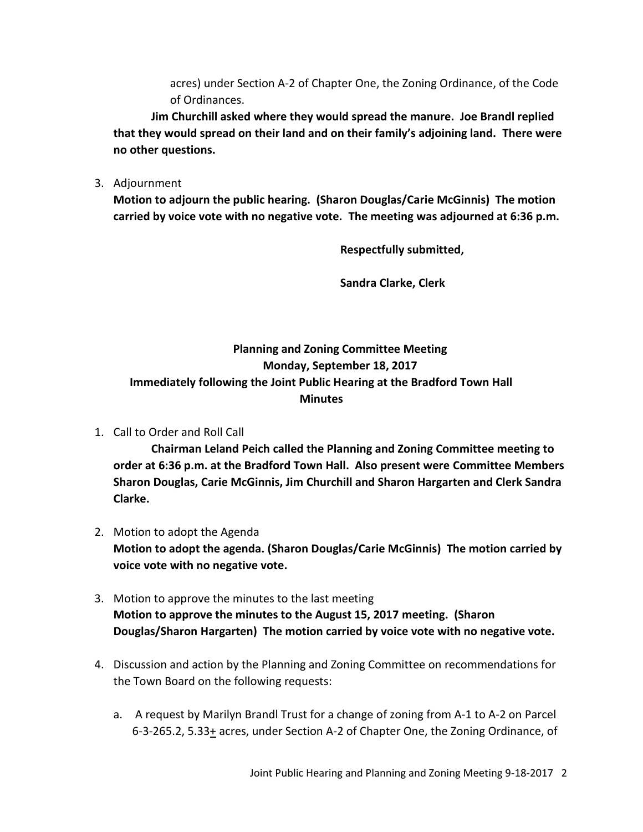acres) under Section A-2 of Chapter One, the Zoning Ordinance, of the Code of Ordinances.

**Jim Churchill asked where they would spread the manure. Joe Brandl replied that they would spread on their land and on their family's adjoining land. There were no other questions.**

3. Adjournment

**Motion to adjourn the public hearing. (Sharon Douglas/Carie McGinnis) The motion carried by voice vote with no negative vote. The meeting was adjourned at 6:36 p.m.**

**Respectfully submitted,**

**Sandra Clarke, Clerk**

## **Planning and Zoning Committee Meeting Monday, September 18, 2017 Immediately following the Joint Public Hearing at the Bradford Town Hall Minutes**

1. Call to Order and Roll Call

**Chairman Leland Peich called the Planning and Zoning Committee meeting to order at 6:36 p.m. at the Bradford Town Hall. Also present were Committee Members Sharon Douglas, Carie McGinnis, Jim Churchill and Sharon Hargarten and Clerk Sandra Clarke.**

- 2. Motion to adopt the Agenda **Motion to adopt the agenda. (Sharon Douglas/Carie McGinnis) The motion carried by voice vote with no negative vote.**
- 3. Motion to approve the minutes to the last meeting **Motion to approve the minutes to the August 15, 2017 meeting. (Sharon Douglas/Sharon Hargarten) The motion carried by voice vote with no negative vote.**
- 4. Discussion and action by the Planning and Zoning Committee on recommendations for the Town Board on the following requests:
	- a. A request by Marilyn Brandl Trust for a change of zoning from A-1 to A-2 on Parcel 6-3-265.2, 5.33+ acres, under Section A-2 of Chapter One, the Zoning Ordinance, of